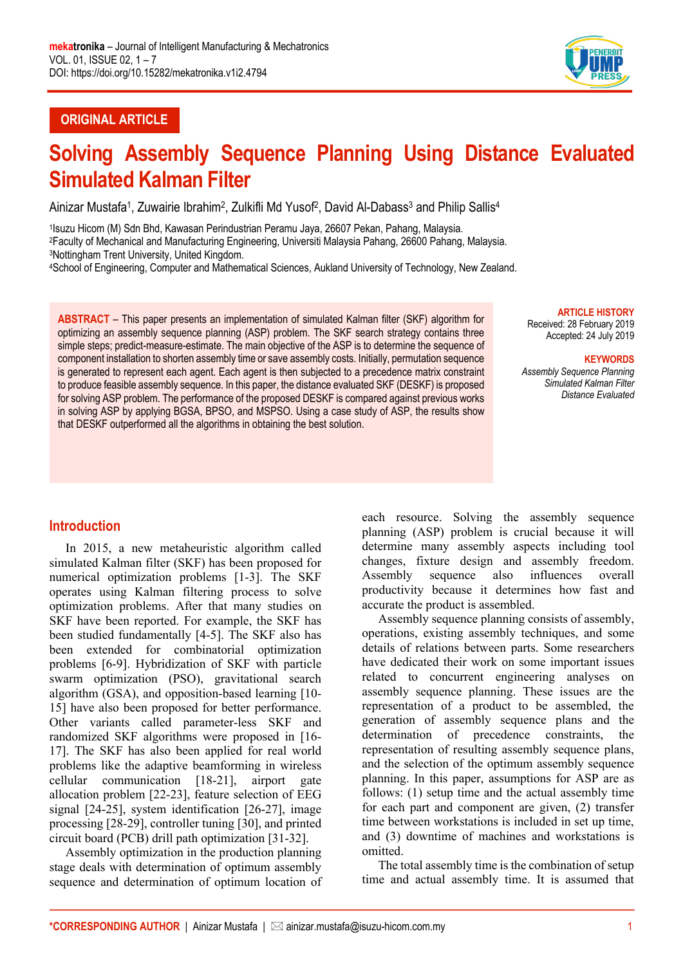

# **ORIGINAL ARTICLE**

# **Solving Assembly Sequence Planning Using Distance Evaluated Simulated Kalman Filter**

Ainizar Mustafa<sup>1</sup>, Zuwairie Ibrahim<sup>2</sup>, Zulkifli Md Yusof<sup>2</sup>, David Al-Dabass<sup>3</sup> and Philip Sallis<sup>4</sup>

1Isuzu Hicom (M) Sdn Bhd, Kawasan Perindustrian Peramu Jaya, 26607 Pekan, Pahang, Malaysia. 2Faculty of Mechanical and Manufacturing Engineering, Universiti Malaysia Pahang, 26600 Pahang, Malaysia. 3Nottingham Trent University, United Kingdom.

4School of Engineering, Computer and Mathematical Sciences, Aukland University of Technology, New Zealand.

**ABSTRACT** – This paper presents an implementation of simulated Kalman filter (SKF) algorithm for optimizing an assembly sequence planning (ASP) problem. The SKF search strategy contains three simple steps; predict-measure-estimate. The main objective of the ASP is to determine the sequence of component installation to shorten assembly time or save assembly costs. Initially, permutation sequence is generated to represent each agent. Each agent is then subjected to a precedence matrix constraint to produce feasible assembly sequence. In this paper, the distance evaluated SKF (DESKF) is proposed for solving ASP problem. The performance of the proposed DESKF is compared against previous works in solving ASP by applying BGSA, BPSO, and MSPSO. Using a case study of ASP, the results show that DESKF outperformed all the algorithms in obtaining the best solution.

#### **ARTICLE HISTORY**

Received: 28 February 2019 Accepted: 24 July 2019

#### **KEYWORDS**

*Assembly Sequence Planning Simulated Kalman Filter Distance Evaluated*

## **Introduction**

In 2015, a new metaheuristic algorithm called simulated Kalman filter (SKF) has been proposed for numerical optimization problems [1-3]. The SKF operates using Kalman filtering process to solve optimization problems. After that many studies on SKF have been reported. For example, the SKF has been studied fundamentally [4-5]. The SKF also has been extended for combinatorial optimization problems [6-9]. Hybridization of SKF with particle swarm optimization (PSO), gravitational search algorithm (GSA), and opposition-based learning [10- 15] have also been proposed for better performance. Other variants called parameter-less SKF and randomized SKF algorithms were proposed in [16- 17]. The SKF has also been applied for real world problems like the adaptive beamforming in wireless cellular communication [18-21], airport gate allocation problem [22-23], feature selection of EEG signal [24-25], system identification [26-27], image processing [28-29], controller tuning [30], and printed circuit board (PCB) drill path optimization [31-32].

Assembly optimization in the production planning stage deals with determination of optimum assembly sequence and determination of optimum location of each resource. Solving the assembly sequence planning (ASP) problem is crucial because it will determine many assembly aspects including tool changes, fixture design and assembly freedom. Assembly sequence also influences overall productivity because it determines how fast and accurate the product is assembled.

Assembly sequence planning consists of assembly, operations, existing assembly techniques, and some details of relations between parts. Some researchers have dedicated their work on some important issues related to concurrent engineering analyses on assembly sequence planning. These issues are the representation of a product to be assembled, the generation of assembly sequence plans and the determination of precedence constraints, the representation of resulting assembly sequence plans, and the selection of the optimum assembly sequence planning. In this paper, assumptions for ASP are as follows: (1) setup time and the actual assembly time for each part and component are given, (2) transfer time between workstations is included in set up time, and (3) downtime of machines and workstations is omitted.

The total assembly time is the combination of setup time and actual assembly time. It is assumed that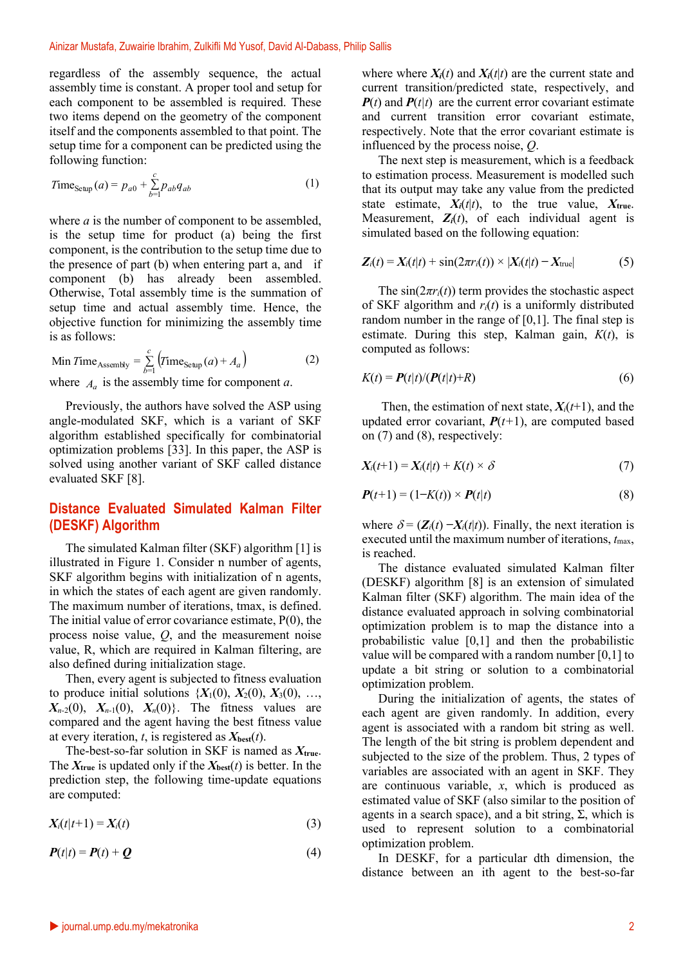regardless of the assembly sequence, the actual assembly time is constant. A proper tool and setup for each component to be assembled is required. These two items depend on the geometry of the component itself and the components assembled to that point. The setup time for a component can be predicted using the following function:

$$
Time_{\text{Setup}}(a) = p_{a0} + \sum_{b=1}^{c} p_{ab} q_{ab} \tag{1}
$$

where *a* is the number of component to be assembled, is the setup time for product (a) being the first component, is the contribution to the setup time due to the presence of part (b) when entering part a, and if component (b) has already been assembled. Otherwise, Total assembly time is the summation of setup time and actual assembly time. Hence, the objective function for minimizing the assembly time is as follows:

Min Time<sub>Assembly</sub> = 
$$
\sum_{b=1}^{c} (Time_{\text{Setup}}(a) + A_a)
$$
 (2)

where  $A_a$  is the assembly time for component *a*.

Previously, the authors have solved the ASP using angle-modulated SKF, which is a variant of SKF algorithm established specifically for combinatorial optimization problems [33]. In this paper, the ASP is solved using another variant of SKF called distance evaluated SKF [8].

#### **Distance Evaluated Simulated Kalman Filter (DESKF) Algorithm**

The simulated Kalman filter (SKF) algorithm [1] is illustrated in Figure 1. Consider n number of agents, SKF algorithm begins with initialization of n agents, in which the states of each agent are given randomly. The maximum number of iterations, tmax, is defined. The initial value of error covariance estimate, P(0), the process noise value, *Q*, and the measurement noise value, R, which are required in Kalman filtering, are also defined during initialization stage.

Then, every agent is subjected to fitness evaluation to produce initial solutions  $\{X_1(0), X_2(0), X_3(0), \ldots, X_n(0)\}$  $X_{n-2}(0)$ ,  $X_{n-1}(0)$ ,  $X_n(0)$ . The fitness values are compared and the agent having the best fitness value at every iteration, *t*, is registered as  $X_{best}(t)$ .

The-best-so-far solution in SKF is named as *X***true**. The  $X_{true}$  is updated only if the  $X_{best}(t)$  is better. In the prediction step, the following time-update equations are computed:

$$
X_i(t|t+1) = X_i(t) \tag{3}
$$

$$
P(t|t) = P(t) + Q \tag{4}
$$

where where  $X_i(t)$  and  $X_i(t|t)$  are the current state and current transition/predicted state, respectively, and  $P(t)$  and  $P(t|t)$  are the current error covariant estimate and current transition error covariant estimate, respectively. Note that the error covariant estimate is influenced by the process noise, *Q*.

The next step is measurement, which is a feedback to estimation process. Measurement is modelled such that its output may take any value from the predicted state estimate,  $X_i(t|t)$ , to the true value,  $X_{true}$ . Measurement,  $Z_i(t)$ , of each individual agent is simulated based on the following equation:

$$
Z_i(t) = X_i(t|t) + \sin(2\pi r_i(t)) \times |X_i(t|t) - X_{true}|
$$
 (5)

The  $sin(2\pi r_i(t))$  term provides the stochastic aspect of SKF algorithm and *ri*(*t*) is a uniformly distributed random number in the range of  $[0,1]$ . The final step is estimate. During this step, Kalman gain, *K*(*t*), is computed as follows:

$$
K(t) = P(t|t)/(P(t|t)+R)
$$
\n(6)

Then, the estimation of next state,  $X_i(t+1)$ , and the updated error covariant,  $P(t+1)$ , are computed based on (7) and (8), respectively:

$$
X_i(t+1) = X_i(t|t) + K(t) \times \delta \tag{7}
$$

$$
\boldsymbol{P}(t+1) = (1-K(t)) \times \boldsymbol{P}(t|t) \tag{8}
$$

where  $\delta = (\mathbf{Z}_i(t) - \mathbf{X}_i(t|t))$ . Finally, the next iteration is executed until the maximum number of iterations,  $t_{\text{max}}$ , is reached.

The distance evaluated simulated Kalman filter (DESKF) algorithm [8] is an extension of simulated Kalman filter (SKF) algorithm. The main idea of the distance evaluated approach in solving combinatorial optimization problem is to map the distance into a probabilistic value [0,1] and then the probabilistic value will be compared with a random number [0,1] to update a bit string or solution to a combinatorial optimization problem.

During the initialization of agents, the states of each agent are given randomly. In addition, every agent is associated with a random bit string as well. The length of the bit string is problem dependent and subjected to the size of the problem. Thus, 2 types of variables are associated with an agent in SKF. They are continuous variable, *x*, which is produced as estimated value of SKF (also similar to the position of agents in a search space), and a bit string,  $\Sigma$ , which is used to represent solution to a combinatorial optimization problem.

In DESKF, for a particular dth dimension, the distance between an ith agent to the best-so-far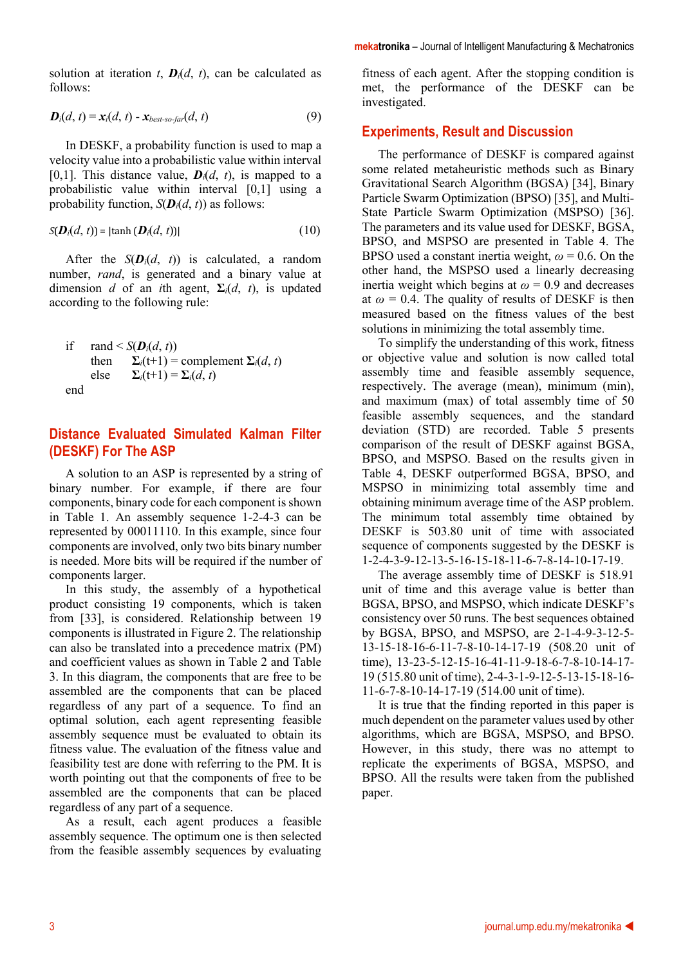**mekatronika** – Journal of Intelligent Manufacturing & Mechatronics

solution at iteration *t*,  $\mathbf{D}_i(d, t)$ , can be calculated as follows:

$$
\boldsymbol{D}_i(d,\,t) = \boldsymbol{x}_i(d,\,t) - \boldsymbol{x}_{best-so-far}(d,\,t) \tag{9}
$$

In DESKF, a probability function is used to map a velocity value into a probabilistic value within interval [0,1]. This distance value,  $\mathbf{D}_i(d, t)$ , is mapped to a probabilistic value within interval [0,1] using a probability function,  $S(D_i(d, t))$  as follows:

$$
S(\mathbf{D}_i(d,\,t)) = |\tanh(\mathbf{D}_i(d,\,t))| \tag{10}
$$

After the  $S(D_i(d, t))$  is calculated, a random number, *rand*, is generated and a binary value at dimension *d* of an *i*th agent,  $\Sigma_i(d, t)$ , is updated according to the following rule:

if 
$$
\text{rand} < S(D_i(d, t))
$$
  
then  $\sum_i (t+1) = \text{complement } \sum_i (d, t)$   
else  $\sum_i (t+1) = \sum_i (d, t)$   
end

## **Distance Evaluated Simulated Kalman Filter (DESKF) For The ASP**

A solution to an ASP is represented by a string of binary number. For example, if there are four components, binary code for each component is shown in Table 1. An assembly sequence 1-2-4-3 can be represented by 00011110. In this example, since four components are involved, only two bits binary number is needed. More bits will be required if the number of components larger.

In this study, the assembly of a hypothetical product consisting 19 components, which is taken from [33], is considered. Relationship between 19 components is illustrated in Figure 2. The relationship can also be translated into a precedence matrix (PM) and coefficient values as shown in Table 2 and Table 3. In this diagram, the components that are free to be assembled are the components that can be placed regardless of any part of a sequence. To find an optimal solution, each agent representing feasible assembly sequence must be evaluated to obtain its fitness value. The evaluation of the fitness value and feasibility test are done with referring to the PM. It is worth pointing out that the components of free to be assembled are the components that can be placed regardless of any part of a sequence.

As a result, each agent produces a feasible assembly sequence. The optimum one is then selected from the feasible assembly sequences by evaluating

fitness of each agent. After the stopping condition is met, the performance of the DESKF can be investigated.

#### **Experiments, Result and Discussion**

The performance of DESKF is compared against some related metaheuristic methods such as Binary Gravitational Search Algorithm (BGSA) [34], Binary Particle Swarm Optimization (BPSO) [35], and Multi-State Particle Swarm Optimization (MSPSO) [36]. The parameters and its value used for DESKF, BGSA, BPSO, and MSPSO are presented in Table 4. The BPSO used a constant inertia weight,  $\omega$  = 0.6. On the other hand, the MSPSO used a linearly decreasing inertia weight which begins at  $\omega = 0.9$  and decreases at  $\omega$  = 0.4. The quality of results of DESKF is then measured based on the fitness values of the best solutions in minimizing the total assembly time.

To simplify the understanding of this work, fitness or objective value and solution is now called total assembly time and feasible assembly sequence, respectively. The average (mean), minimum (min), and maximum (max) of total assembly time of 50 feasible assembly sequences, and the standard deviation (STD) are recorded. Table 5 presents comparison of the result of DESKF against BGSA, BPSO, and MSPSO. Based on the results given in Table 4, DESKF outperformed BGSA, BPSO, and MSPSO in minimizing total assembly time and obtaining minimum average time of the ASP problem. The minimum total assembly time obtained by DESKF is 503.80 unit of time with associated sequence of components suggested by the DESKF is 1-2-4-3-9-12-13-5-16-15-18-11-6-7-8-14-10-17-19.

The average assembly time of DESKF is 518.91 unit of time and this average value is better than BGSA, BPSO, and MSPSO, which indicate DESKF's consistency over 50 runs. The best sequences obtained by BGSA, BPSO, and MSPSO, are 2-1-4-9-3-12-5- 13-15-18-16-6-11-7-8-10-14-17-19 (508.20 unit of time), 13-23-5-12-15-16-41-11-9-18-6-7-8-10-14-17- 19 (515.80 unit of time), 2-4-3-1-9-12-5-13-15-18-16- 11-6-7-8-10-14-17-19 (514.00 unit of time).

It is true that the finding reported in this paper is much dependent on the parameter values used by other algorithms, which are BGSA, MSPSO, and BPSO. However, in this study, there was no attempt to replicate the experiments of BGSA, MSPSO, and BPSO. All the results were taken from the published paper.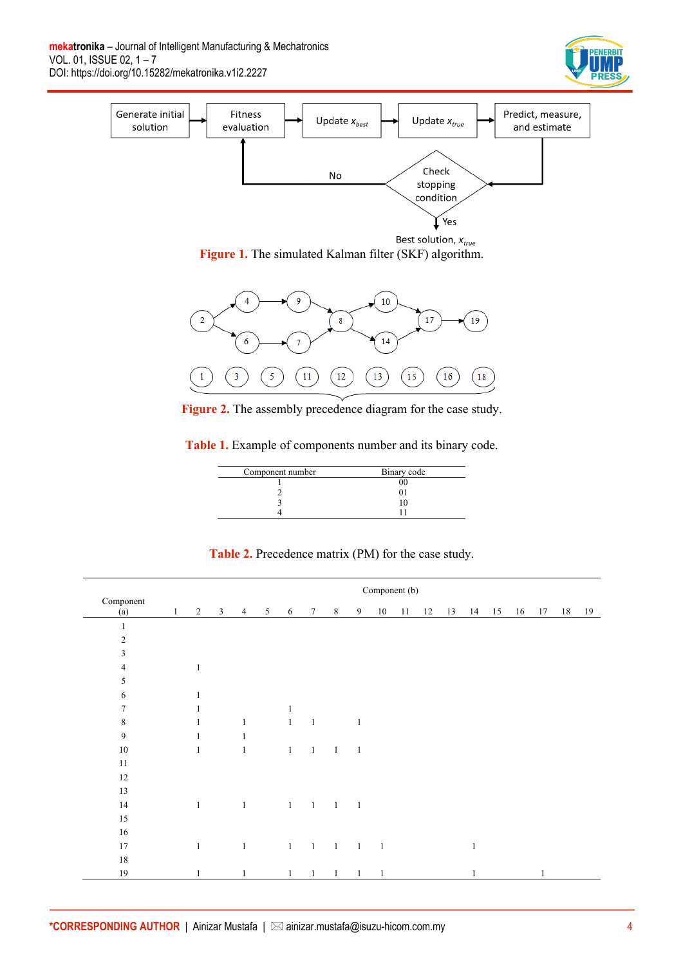



**Figure 1.** The simulated Kalman filter (SKF) algorithm.



**Figure 2.** The assembly precedence diagram for the case study.

**Table 1.** Example of components number and its binary code.

| Component number | Binary code |
|------------------|-------------|
|                  |             |
|                  |             |
|                  |             |
|                  |             |

**Table 2.** Precedence matrix (PM) for the case study.

|                  | Component (b) |              |             |                |  |                                     |                |                |                          |                |    |    |    |              |    |    |    |    |
|------------------|---------------|--------------|-------------|----------------|--|-------------------------------------|----------------|----------------|--------------------------|----------------|----|----|----|--------------|----|----|----|----|
| Component<br>(a) | 1             |              | $2 \quad 3$ |                |  | 4 5 6 7 8                           |                |                | 9                        | 10             | 11 | 12 | 13 | 14 15        | 16 | 17 | 18 | 19 |
| $\mathbf{1}$     |               |              |             |                |  |                                     |                |                |                          |                |    |    |    |              |    |    |    |    |
| $\sqrt{2}$       |               |              |             |                |  |                                     |                |                |                          |                |    |    |    |              |    |    |    |    |
| $\mathfrak{Z}$   |               |              |             |                |  |                                     |                |                |                          |                |    |    |    |              |    |    |    |    |
| 4                |               | $\mathbf{1}$ |             |                |  |                                     |                |                |                          |                |    |    |    |              |    |    |    |    |
| 5                |               |              |             |                |  |                                     |                |                |                          |                |    |    |    |              |    |    |    |    |
| 6                |               | 1            |             |                |  |                                     |                |                |                          |                |    |    |    |              |    |    |    |    |
| 7                |               | 1            |             |                |  | $\mathbf{1}$                        |                |                |                          |                |    |    |    |              |    |    |    |    |
| 8                |               | 1            |             | $\mathbf{1}$   |  |                                     | $1 \quad 1$    |                | $\mathbf{1}$             |                |    |    |    |              |    |    |    |    |
| $\overline{9}$   |               | $\mathbf{1}$ |             | $\mathbf{1}$   |  |                                     |                |                |                          |                |    |    |    |              |    |    |    |    |
| $10\,$           |               | $\mathbf{1}$ |             | $\mathbf{1}$   |  | $\mathbf{1}$                        | $\overline{1}$ | $\overline{1}$ | $\overline{\phantom{0}}$ |                |    |    |    |              |    |    |    |    |
| 11               |               |              |             |                |  |                                     |                |                |                          |                |    |    |    |              |    |    |    |    |
| $12\,$           |               |              |             |                |  |                                     |                |                |                          |                |    |    |    |              |    |    |    |    |
| 13               |               |              |             |                |  |                                     |                |                |                          |                |    |    |    |              |    |    |    |    |
| 14               |               | $\mathbf{1}$ |             | $\overline{1}$ |  | $\qquad \qquad 1 \qquad 1 \qquad 1$ |                |                | $\overline{1}$           |                |    |    |    |              |    |    |    |    |
| $15\,$           |               |              |             |                |  |                                     |                |                |                          |                |    |    |    |              |    |    |    |    |
| $16\,$           |               |              |             |                |  |                                     |                |                |                          |                |    |    |    |              |    |    |    |    |
| 17               |               | $\mathbf{1}$ |             | $\mathbf{1}$   |  | $1 \quad 1 \quad 1$                 |                |                | $\frac{1}{2}$            | $\overline{1}$ |    |    |    | $\mathbf{1}$ |    |    |    |    |
| $18\,$           |               |              |             |                |  |                                     |                |                |                          |                |    |    |    |              |    |    |    |    |
| $19\,$           |               | $\mathbf{1}$ |             | $\mathbf{1}$   |  | $\mathbf{1}$                        | $\mathbf{1}$   | $\mathbf{1}$   | $\mathbf{1}$             | 1              |    |    |    | $\mathbf{1}$ |    |    |    |    |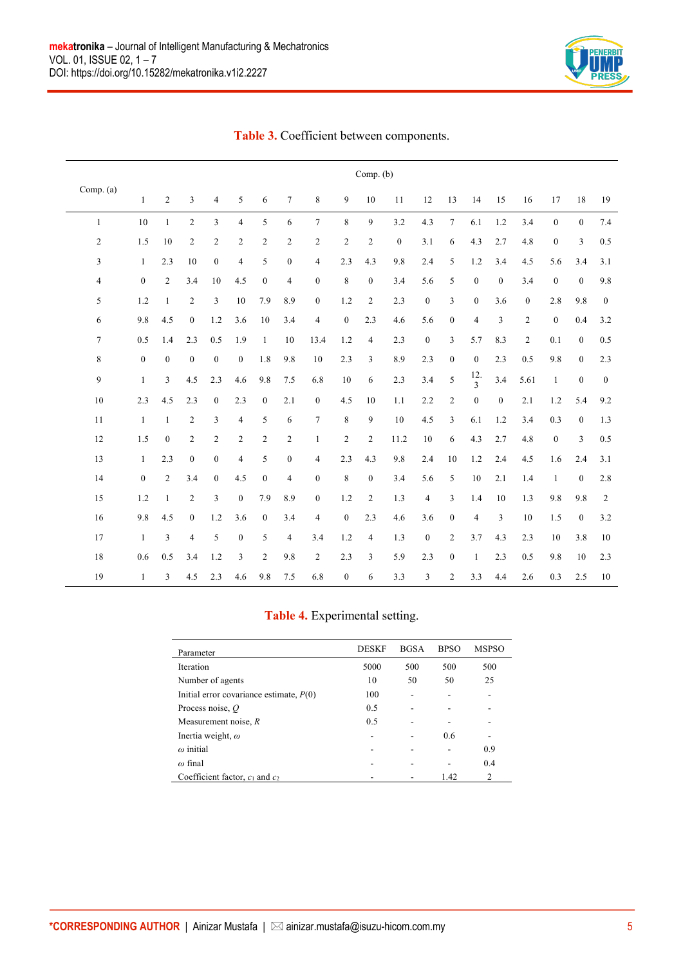

|                | Comp. (b)        |                  |                  |                  |                  |                  |                  |                  |                  |                  |                  |                |                  |                  |                  |                |                  |                  |                  |
|----------------|------------------|------------------|------------------|------------------|------------------|------------------|------------------|------------------|------------------|------------------|------------------|----------------|------------------|------------------|------------------|----------------|------------------|------------------|------------------|
| Comp. (a)      | $\mathbf{1}$     | 2                | 3                | $\overline{4}$   | 5                | 6                | $\tau$           | 8                | 9                | 10               | 11               | 12             | 13               | 14               | 15               | 16             | 17               | 18               | 19               |
| $\mathbf{1}$   | $10\,$           | $\mathbf{1}$     | $\overline{2}$   | $\overline{3}$   | $\overline{4}$   | 5                | 6                | $\tau$           | 8                | 9                | 3.2              | 4.3            | $\boldsymbol{7}$ | 6.1              | 1.2              | 3.4            | $\boldsymbol{0}$ | $\boldsymbol{0}$ | $7.4\,$          |
| 2              | 1.5              | 10               | $\overline{2}$   | $\overline{2}$   | $\overline{2}$   | $\overline{c}$   | $\overline{c}$   | $\mathfrak{2}$   | $\overline{c}$   | $\overline{c}$   | $\boldsymbol{0}$ | 3.1            | 6                | 4.3              | 2.7              | 4.8            | $\boldsymbol{0}$ | $\mathfrak{Z}$   | $0.5\,$          |
| 3              | $\mathbf{1}$     | 2.3              | 10               | $\mathbf{0}$     | $\overline{4}$   | 5                | $\boldsymbol{0}$ | $\overline{4}$   | 2.3              | 4.3              | 9.8              | 2.4            | 5                | 1.2              | 3.4              | 4.5            | 5.6              | 3.4              | 3.1              |
| $\overline{4}$ | $\boldsymbol{0}$ | $\overline{2}$   | 3.4              | 10               | 4.5              | $\boldsymbol{0}$ | $\overline{4}$   | $\boldsymbol{0}$ | 8                | $\boldsymbol{0}$ | 3.4              | 5.6            | 5                | $\boldsymbol{0}$ | $\boldsymbol{0}$ | 3.4            | $\boldsymbol{0}$ | $\boldsymbol{0}$ | 9.8              |
| 5              | 1.2              | $\mathbf{1}$     | $\overline{2}$   | $\mathfrak{Z}$   | 10               | 7.9              | 8.9              | $\boldsymbol{0}$ | 1.2              | $\overline{c}$   | 2.3              | $\mathbf{0}$   | 3                | $\boldsymbol{0}$ | 3.6              | $\mathbf{0}$   | 2.8              | 9.8              | $\bf{0}$         |
| 6              | 9.8              | 4.5              | $\boldsymbol{0}$ | 1.2              | 3.6              | $10\,$           | 3.4              | $\overline{4}$   | $\boldsymbol{0}$ | 2.3              | 4.6              | 5.6            | $\boldsymbol{0}$ | $\overline{4}$   | 3                | $\overline{c}$ | $\boldsymbol{0}$ | 0.4              | 3.2              |
| 7              | 0.5              | 1.4              | 2.3              | 0.5              | 1.9              | $\mathbf{1}$     | 10               | 13.4             | 1.2              | $\overline{4}$   | 2.3              | $\mathbf{0}$   | 3                | 5.7              | 8.3              | $\sqrt{2}$     | 0.1              | $\mathbf{0}$     | $0.5\,$          |
| 8              | $\boldsymbol{0}$ | $\boldsymbol{0}$ | $\boldsymbol{0}$ | $\boldsymbol{0}$ | $\boldsymbol{0}$ | 1.8              | 9.8              | 10               | 2.3              | 3                | 8.9              | 2.3            | $\boldsymbol{0}$ | $\boldsymbol{0}$ | 2.3              | 0.5            | 9.8              | $\mathbf{0}$     | 2.3              |
| 9              | $\mathbf{1}$     | 3                | 4.5              | 2.3              | 4.6              | 9.8              | 7.5              | 6.8              | $10\,$           | 6                | 2.3              | 3.4            | 5                | $\frac{12}{3}$   | 3.4              | 5.61           | $\mathbf{1}$     | $\boldsymbol{0}$ | $\boldsymbol{0}$ |
| 10             | 2.3              | 4.5              | 2.3              | $\mathbf{0}$     | 2.3              | $\boldsymbol{0}$ | 2.1              | $\boldsymbol{0}$ | 4.5              | 10               | 1.1              | 2.2            | 2                | $\boldsymbol{0}$ | $\boldsymbol{0}$ | 2.1            | 1.2              | 5.4              | 9.2              |
| $11\,$         | $\mathbf{1}$     | $\mathbf{1}$     | $\overline{2}$   | $\mathfrak{Z}$   | $\overline{4}$   | 5                | 6                | $\tau$           | $\,$ 8 $\,$      | 9                | $10\,$           | 4.5            | 3                | 6.1              | 1.2              | 3.4            | 0.3              | $\boldsymbol{0}$ | $1.3\,$          |
| 12             | 1.5              | $\boldsymbol{0}$ | $\overline{2}$   | $\overline{c}$   | $\overline{2}$   | $\overline{c}$   | $\overline{c}$   | $\mathbf{1}$     | $\overline{c}$   | $\overline{c}$   | 11.2             | 10             | 6                | 4.3              | 2.7              | 4.8            | $\boldsymbol{0}$ | 3                | 0.5              |
| 13             | $\mathbf{1}$     | 2.3              | $\overline{0}$   | $\overline{0}$   | $\overline{4}$   | 5                | $\boldsymbol{0}$ | $\overline{4}$   | 2.3              | 4.3              | 9.8              | 2.4            | 10               | 1.2              | 2.4              | 4.5            | 1.6              | $2.4\,$          | 3.1              |
| 14             | $\boldsymbol{0}$ | $\overline{2}$   | 3.4              | $\boldsymbol{0}$ | 4.5              | $\boldsymbol{0}$ | 4                | $\boldsymbol{0}$ | $\,$ 8 $\,$      | $\boldsymbol{0}$ | 3.4              | 5.6            | $\sqrt{5}$       | $10\,$           | 2.1              | $1.4\,$        | $\mathbf{1}$     | $\boldsymbol{0}$ | $2.8\,$          |
| 15             | 1.2              | $\mathbf{1}$     | $\overline{2}$   | $\mathfrak{Z}$   | $\mathbf{0}$     | 7.9              | 8.9              | $\boldsymbol{0}$ | 1.2              | $\overline{c}$   | 1.3              | $\overline{4}$ | $\mathfrak{Z}$   | 1.4              | 10               | 1.3            | 9.8              | 9.8              | $\overline{2}$   |
| 16             | 9.8              | 4.5              | $\boldsymbol{0}$ | 1.2              | 3.6              | $\mathbf{0}$     | 3.4              | 4                | $\boldsymbol{0}$ | 2.3              | 4.6              | 3.6            | $\boldsymbol{0}$ | $\overline{4}$   | 3                | 10             | 1.5              | $\boldsymbol{0}$ | $3.2\,$          |
| 17             | $\mathbf{1}$     | 3                | $\overline{4}$   | 5                | $\boldsymbol{0}$ | 5                | 4                | 3.4              | 1.2              | 4                | 1.3              | $\mathbf{0}$   | 2                | 3.7              | 4.3              | 2.3            | 10               | 3.8              | 10               |
| 18             | 0.6              | 0.5              | 3.4              | 1.2              | 3                | $\overline{2}$   | 9.8              | $\sqrt{2}$       | 2.3              | 3                | 5.9              | 2.3            | $\boldsymbol{0}$ | $\mathbf{1}$     | 2.3              | 0.5            | 9.8              | 10               | 2.3              |
| 19             | $\mathbf{1}$     | 3                | 4.5              | 2.3              | 4.6              | 9.8              | 7.5              | 6.8              | $\boldsymbol{0}$ | 6                | 3.3              | 3              | $\overline{c}$   | 3.3              | 4.4              | 2.6            | 0.3              | 2.5              | $10\,$           |

#### **Table 3.** Coefficient between components.

#### **Table 4.** Experimental setting.

| Parameter                                 | <b>DESKF</b> | <b>BGSA</b> | <b>BPSO</b> | <b>MSPSO</b> |
|-------------------------------------------|--------------|-------------|-------------|--------------|
| Iteration                                 | 5000         | 500         | 500         | 500          |
| Number of agents                          | 10           | 50          | 50          | 25           |
| Initial error covariance estimate, $P(0)$ | 100          |             |             |              |
| Process noise, $O$                        | 0.5          |             |             |              |
| Measurement noise, $R$                    | 0.5          |             |             |              |
| Inertia weight, $\omega$                  |              |             | 0.6         |              |
| $\omega$ initial                          |              |             |             | 0.9          |
| $\omega$ final                            |              |             |             | 0.4          |
| Coefficient factor, $c_1$ and $c_2$       |              |             | 1.42        | 2            |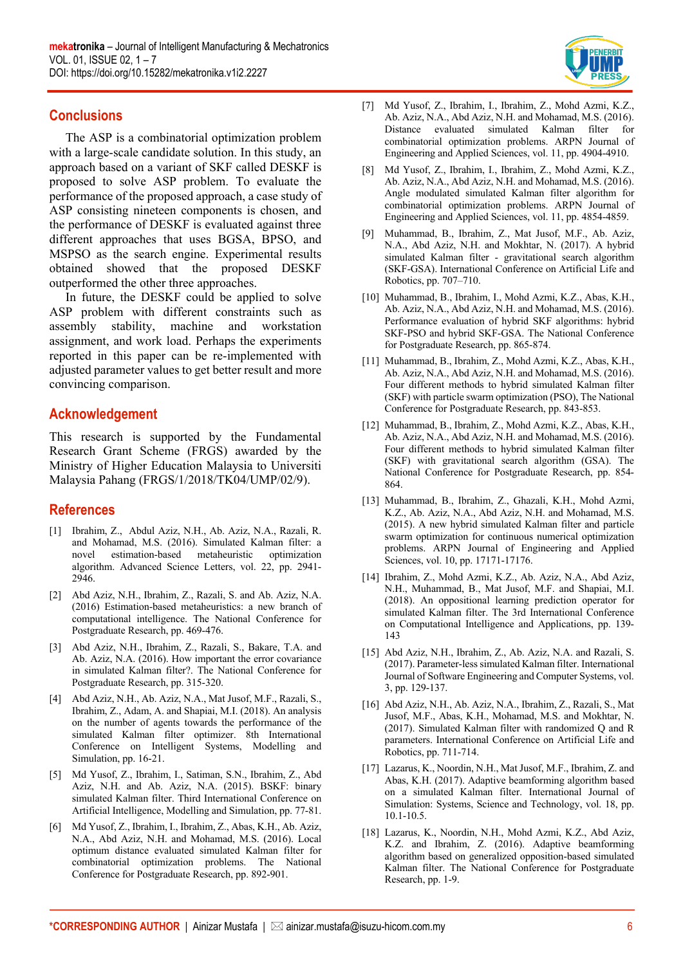

#### **Conclusions**

The ASP is a combinatorial optimization problem with a large-scale candidate solution. In this study, an approach based on a variant of SKF called DESKF is proposed to solve ASP problem. To evaluate the performance of the proposed approach, a case study of ASP consisting nineteen components is chosen, and the performance of DESKF is evaluated against three different approaches that uses BGSA, BPSO, and MSPSO as the search engine. Experimental results obtained showed that the proposed DESKF outperformed the other three approaches.

In future, the DESKF could be applied to solve ASP problem with different constraints such as assembly stability, machine and workstation assignment, and work load. Perhaps the experiments reported in this paper can be re-implemented with adjusted parameter values to get better result and more convincing comparison.

## **Acknowledgement**

This research is supported by the Fundamental Research Grant Scheme (FRGS) awarded by the Ministry of Higher Education Malaysia to Universiti Malaysia Pahang (FRGS/1/2018/TK04/UMP/02/9).

# **References**

- [1] Ibrahim, Z., Abdul Aziz, N.H., Ab. Aziz, N.A., Razali, R. and Mohamad, M.S. (2016). Simulated Kalman filter: a novel estimation-based metaheuristic optimization algorithm. Advanced Science Letters, vol. 22, pp. 2941- 2946.
- [2] Abd Aziz, N.H., Ibrahim, Z., Razali, S. and Ab. Aziz, N.A. (2016) Estimation-based metaheuristics: a new branch of computational intelligence. The National Conference for Postgraduate Research, pp. 469-476.
- [3] Abd Aziz, N.H., Ibrahim, Z., Razali, S., Bakare, T.A. and Ab. Aziz, N.A. (2016). How important the error covariance in simulated Kalman filter?. The National Conference for Postgraduate Research, pp. 315-320.
- [4] Abd Aziz, N.H., Ab. Aziz, N.A., Mat Jusof, M.F., Razali, S., Ibrahim, Z., Adam, A. and Shapiai, M.I. (2018). An analysis on the number of agents towards the performance of the simulated Kalman filter optimizer. 8th International Conference on Intelligent Systems, Modelling and Simulation, pp. 16-21.
- [5] Md Yusof, Z., Ibrahim, I., Satiman, S.N., Ibrahim, Z., Abd Aziz, N.H. and Ab. Aziz, N.A. (2015). BSKF: binary simulated Kalman filter. Third International Conference on Artificial Intelligence, Modelling and Simulation, pp. 77-81.
- [6] Md Yusof, Z., Ibrahim, I., Ibrahim, Z., Abas, K.H., Ab. Aziz, N.A., Abd Aziz, N.H. and Mohamad, M.S. (2016). Local optimum distance evaluated simulated Kalman filter for combinatorial optimization problems. The National Conference for Postgraduate Research, pp. 892-901.
- [7] Md Yusof, Z., Ibrahim, I., Ibrahim, Z., Mohd Azmi, K.Z., Ab. Aziz, N.A., Abd Aziz, N.H. and Mohamad, M.S. (2016). Distance evaluated simulated Kalman filter for combinatorial optimization problems. ARPN Journal of Engineering and Applied Sciences, vol. 11, pp. 4904-4910.
- [8] Md Yusof, Z., Ibrahim, I., Ibrahim, Z., Mohd Azmi, K.Z., Ab. Aziz, N.A., Abd Aziz, N.H. and Mohamad, M.S. (2016). Angle modulated simulated Kalman filter algorithm for combinatorial optimization problems. ARPN Journal of Engineering and Applied Sciences, vol. 11, pp. 4854-4859.
- [9] Muhammad, B., Ibrahim, Z., Mat Jusof, M.F., Ab. Aziz, N.A., Abd Aziz, N.H. and Mokhtar, N. (2017). A hybrid simulated Kalman filter - gravitational search algorithm (SKF-GSA). International Conference on Artificial Life and Robotics, pp. 707–710.
- [10] Muhammad, B., Ibrahim, I., Mohd Azmi, K.Z., Abas, K.H., Ab. Aziz, N.A., Abd Aziz, N.H. and Mohamad, M.S. (2016). Performance evaluation of hybrid SKF algorithms: hybrid SKF-PSO and hybrid SKF-GSA. The National Conference for Postgraduate Research, pp. 865-874.
- [11] Muhammad, B., Ibrahim, Z., Mohd Azmi, K.Z., Abas, K.H., Ab. Aziz, N.A., Abd Aziz, N.H. and Mohamad, M.S. (2016). Four different methods to hybrid simulated Kalman filter (SKF) with particle swarm optimization (PSO), The National Conference for Postgraduate Research, pp. 843-853.
- [12] Muhammad, B., Ibrahim, Z., Mohd Azmi, K.Z., Abas, K.H., Ab. Aziz, N.A., Abd Aziz, N.H. and Mohamad, M.S. (2016). Four different methods to hybrid simulated Kalman filter (SKF) with gravitational search algorithm (GSA). The National Conference for Postgraduate Research, pp. 854- 864.
- [13] Muhammad, B., Ibrahim, Z., Ghazali, K.H., Mohd Azmi, K.Z., Ab. Aziz, N.A., Abd Aziz, N.H. and Mohamad, M.S. (2015). A new hybrid simulated Kalman filter and particle swarm optimization for continuous numerical optimization problems. ARPN Journal of Engineering and Applied Sciences, vol. 10, pp. 17171-17176.
- [14] Ibrahim, Z., Mohd Azmi, K.Z., Ab. Aziz, N.A., Abd Aziz, N.H., Muhammad, B., Mat Jusof, M.F. and Shapiai, M.I. (2018). An oppositional learning prediction operator for simulated Kalman filter. The 3rd International Conference on Computational Intelligence and Applications, pp. 139- 143
- [15] Abd Aziz, N.H., Ibrahim, Z., Ab. Aziz, N.A. and Razali, S. (2017). Parameter-less simulated Kalman filter. International Journal of Software Engineering and Computer Systems, vol. 3, pp. 129-137.
- [16] Abd Aziz, N.H., Ab. Aziz, N.A., Ibrahim, Z., Razali, S., Mat Jusof, M.F., Abas, K.H., Mohamad, M.S. and Mokhtar, N. (2017). Simulated Kalman filter with randomized Q and R parameters. International Conference on Artificial Life and Robotics, pp. 711-714.
- [17] Lazarus, K., Noordin, N.H., Mat Jusof, M.F., Ibrahim, Z. and Abas, K.H. (2017). Adaptive beamforming algorithm based on a simulated Kalman filter. International Journal of Simulation: Systems, Science and Technology, vol. 18, pp. 10.1-10.5.
- [18] Lazarus, K., Noordin, N.H., Mohd Azmi, K.Z., Abd Aziz, K.Z. and Ibrahim, Z. (2016). Adaptive beamforming algorithm based on generalized opposition-based simulated Kalman filter. The National Conference for Postgraduate Research, pp. 1-9.